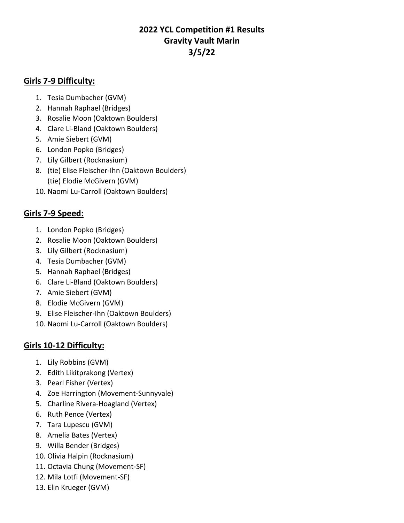# **2022 YCL Competition #1 Results Gravity Vault Marin 3/5/22**

### **Girls 7-9 Difficulty:**

- 1. Tesia Dumbacher (GVM)
- 2. Hannah Raphael (Bridges)
- 3. Rosalie Moon (Oaktown Boulders)
- 4. Clare Li-Bland (Oaktown Boulders)
- 5. Amie Siebert (GVM)
- 6. London Popko (Bridges)
- 7. Lily Gilbert (Rocknasium)
- 8. (tie) Elise Fleischer-Ihn (Oaktown Boulders) (tie) Elodie McGivern (GVM)
- 10. Naomi Lu-Carroll (Oaktown Boulders)

### **Girls 7-9 Speed:**

- 1. London Popko (Bridges)
- 2. Rosalie Moon (Oaktown Boulders)
- 3. Lily Gilbert (Rocknasium)
- 4. Tesia Dumbacher (GVM)
- 5. Hannah Raphael (Bridges)
- 6. Clare Li-Bland (Oaktown Boulders)
- 7. Amie Siebert (GVM)
- 8. Elodie McGivern (GVM)
- 9. Elise Fleischer-Ihn (Oaktown Boulders)
- 10. Naomi Lu-Carroll (Oaktown Boulders)

## **Girls 10-12 Difficulty:**

- 1. Lily Robbins (GVM)
- 2. Edith Likitprakong (Vertex)
- 3. Pearl Fisher (Vertex)
- 4. Zoe Harrington (Movement-Sunnyvale)
- 5. Charline Rivera-Hoagland (Vertex)
- 6. Ruth Pence (Vertex)
- 7. Tara Lupescu (GVM)
- 8. Amelia Bates (Vertex)
- 9. Willa Bender (Bridges)
- 10. Olivia Halpin (Rocknasium)
- 11. Octavia Chung (Movement-SF)
- 12. Mila Lotfi (Movement-SF)
- 13. Elin Krueger (GVM)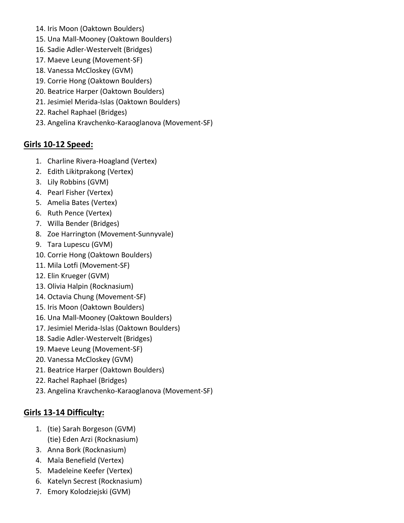- 14. Iris Moon (Oaktown Boulders)
- 15. Una Mall-Mooney (Oaktown Boulders)
- 16. Sadie Adler-Westervelt (Bridges)
- 17. Maeve Leung (Movement-SF)
- 18. Vanessa McCloskey (GVM)
- 19. Corrie Hong (Oaktown Boulders)
- 20. Beatrice Harper (Oaktown Boulders)
- 21. Jesimiel Merida-Islas (Oaktown Boulders)
- 22. Rachel Raphael (Bridges)
- 23. Angelina Kravchenko-Karaoglanova (Movement-SF)

#### **Girls 10-12 Speed:**

- 1. Charline Rivera-Hoagland (Vertex)
- 2. Edith Likitprakong (Vertex)
- 3. Lily Robbins (GVM)
- 4. Pearl Fisher (Vertex)
- 5. Amelia Bates (Vertex)
- 6. Ruth Pence (Vertex)
- 7. Willa Bender (Bridges)
- 8. Zoe Harrington (Movement-Sunnyvale)
- 9. Tara Lupescu (GVM)
- 10. Corrie Hong (Oaktown Boulders)
- 11. Mila Lotfi (Movement-SF)
- 12. Elin Krueger (GVM)
- 13. Olivia Halpin (Rocknasium)
- 14. Octavia Chung (Movement-SF)
- 15. Iris Moon (Oaktown Boulders)
- 16. Una Mall-Mooney (Oaktown Boulders)
- 17. Jesimiel Merida-Islas (Oaktown Boulders)
- 18. Sadie Adler-Westervelt (Bridges)
- 19. Maeve Leung (Movement-SF)
- 20. Vanessa McCloskey (GVM)
- 21. Beatrice Harper (Oaktown Boulders)
- 22. Rachel Raphael (Bridges)
- 23. Angelina Kravchenko-Karaoglanova (Movement-SF)

### **Girls 13-14 Difficulty:**

- 1. (tie) Sarah Borgeson (GVM) (tie) Eden Arzi (Rocknasium)
- 3. Anna Bork (Rocknasium)
- 4. Maïa Benefield (Vertex)
- 5. Madeleine Keefer (Vertex)
- 6. Katelyn Secrest (Rocknasium)
- 7. Emory Kolodziejski (GVM)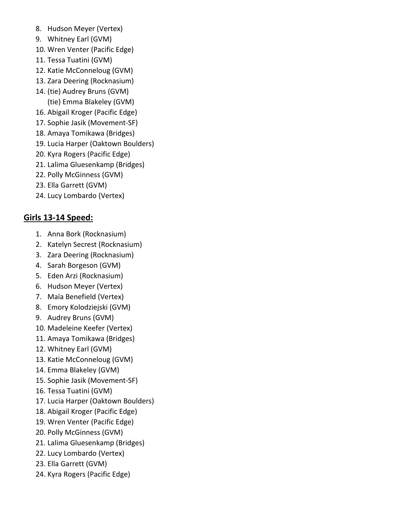- 8. Hudson Meyer (Vertex)
- 9. Whitney Earl (GVM)
- 10. Wren Venter (Pacific Edge)
- 11. Tessa Tuatini (GVM)
- 12. Katie McConneloug (GVM)
- 13. Zara Deering (Rocknasium)
- 14. (tie) Audrey Bruns (GVM) (tie) Emma Blakeley (GVM)
- 16. Abigail Kroger (Pacific Edge)
- 17. Sophie Jasik (Movement-SF)
- 18. Amaya Tomikawa (Bridges)
- 19. Lucia Harper (Oaktown Boulders)
- 20. Kyra Rogers (Pacific Edge)
- 21. Lalima Gluesenkamp (Bridges)
- 22. Polly McGinness (GVM)
- 23. Ella Garrett (GVM)
- 24. Lucy Lombardo (Vertex)

### **Girls 13-14 Speed:**

- 1. Anna Bork (Rocknasium)
- 2. Katelyn Secrest (Rocknasium)
- 3. Zara Deering (Rocknasium)
- 4. Sarah Borgeson (GVM)
- 5. Eden Arzi (Rocknasium)
- 6. Hudson Meyer (Vertex)
- 7. Maïa Benefield (Vertex)
- 8. Emory Kolodziejski (GVM)
- 9. Audrey Bruns (GVM)
- 10. Madeleine Keefer (Vertex)
- 11. Amaya Tomikawa (Bridges)
- 12. Whitney Earl (GVM)
- 13. Katie McConneloug (GVM)
- 14. Emma Blakeley (GVM)
- 15. Sophie Jasik (Movement-SF)
- 16. Tessa Tuatini (GVM)
- 17. Lucia Harper (Oaktown Boulders)
- 18. Abigail Kroger (Pacific Edge)
- 19. Wren Venter (Pacific Edge)
- 20. Polly McGinness (GVM)
- 21. Lalima Gluesenkamp (Bridges)
- 22. Lucy Lombardo (Vertex)
- 23. Ella Garrett (GVM)
- 24. Kyra Rogers (Pacific Edge)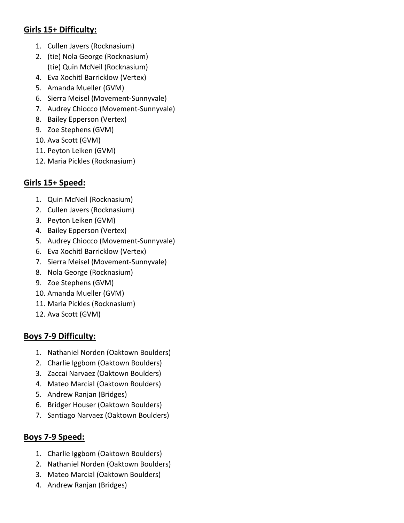### **Girls 15+ Difficulty:**

- 1. Cullen Javers (Rocknasium)
- 2. (tie) Nola George (Rocknasium) (tie) Quin McNeil (Rocknasium)
- 4. Eva Xochitl Barricklow (Vertex)
- 5. Amanda Mueller (GVM)
- 6. Sierra Meisel (Movement-Sunnyvale)
- 7. Audrey Chiocco (Movement-Sunnyvale)
- 8. Bailey Epperson (Vertex)
- 9. Zoe Stephens (GVM)
- 10. Ava Scott (GVM)
- 11. Peyton Leiken (GVM)
- 12. Maria Pickles (Rocknasium)

## **Girls 15+ Speed:**

- 1. Quin McNeil (Rocknasium)
- 2. Cullen Javers (Rocknasium)
- 3. Peyton Leiken (GVM)
- 4. Bailey Epperson (Vertex)
- 5. Audrey Chiocco (Movement-Sunnyvale)
- 6. Eva Xochitl Barricklow (Vertex)
- 7. Sierra Meisel (Movement-Sunnyvale)
- 8. Nola George (Rocknasium)
- 9. Zoe Stephens (GVM)
- 10. Amanda Mueller (GVM)
- 11. Maria Pickles (Rocknasium)
- 12. Ava Scott (GVM)

## **Boys 7-9 Difficulty:**

- 1. Nathaniel Norden (Oaktown Boulders)
- 2. Charlie Iggbom (Oaktown Boulders)
- 3. Zaccai Narvaez (Oaktown Boulders)
- 4. Mateo Marcial (Oaktown Boulders)
- 5. Andrew Ranjan (Bridges)
- 6. Bridger Houser (Oaktown Boulders)
- 7. Santiago Narvaez (Oaktown Boulders)

## **Boys 7-9 Speed:**

- 1. Charlie Iggbom (Oaktown Boulders)
- 2. Nathaniel Norden (Oaktown Boulders)
- 3. Mateo Marcial (Oaktown Boulders)
- 4. Andrew Ranjan (Bridges)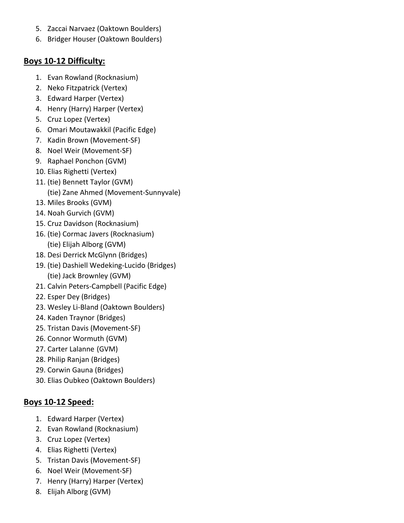- 5. Zaccai Narvaez (Oaktown Boulders)
- 6. Bridger Houser (Oaktown Boulders)

#### **Boys 10-12 Difficulty:**

- 1. Evan Rowland (Rocknasium)
- 2. Neko Fitzpatrick (Vertex)
- 3. Edward Harper (Vertex)
- 4. Henry (Harry) Harper (Vertex)
- 5. Cruz Lopez (Vertex)
- 6. Omari Moutawakkil (Pacific Edge)
- 7. Kadin Brown (Movement-SF)
- 8. Noel Weir (Movement-SF)
- 9. Raphael Ponchon (GVM)
- 10. Elias Righetti (Vertex)
- 11. (tie) Bennett Taylor (GVM) (tie) Zane Ahmed (Movement-Sunnyvale)
- 13. Miles Brooks (GVM)
- 14. Noah Gurvich (GVM)
- 15. Cruz Davidson (Rocknasium)
- 16. (tie) Cormac Javers (Rocknasium) (tie) Elijah Alborg (GVM)
- 18. Desi Derrick McGlynn (Bridges)
- 19. (tie) Dashiell Wedeking-Lucido (Bridges) (tie) Jack Brownley (GVM)
- 21. Calvin Peters-Campbell (Pacific Edge)
- 22. Esper Dey (Bridges)
- 23. Wesley Li-Bland (Oaktown Boulders)
- 24. Kaden Traynor (Bridges)
- 25. Tristan Davis (Movement-SF)
- 26. Connor Wormuth (GVM)
- 27. Carter Lalanne (GVM)
- 28. Philip Ranjan (Bridges)
- 29. Corwin Gauna (Bridges)
- 30. Elias Oubkeo (Oaktown Boulders)

## **Boys 10-12 Speed:**

- 1. Edward Harper (Vertex)
- 2. Evan Rowland (Rocknasium)
- 3. Cruz Lopez (Vertex)
- 4. Elias Righetti (Vertex)
- 5. Tristan Davis (Movement-SF)
- 6. Noel Weir (Movement-SF)
- 7. Henry (Harry) Harper (Vertex)
- 8. Elijah Alborg (GVM)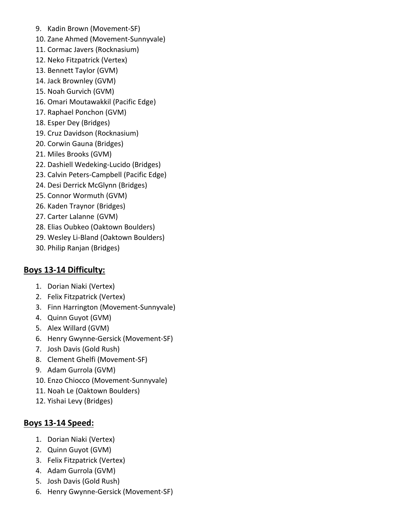- 9. Kadin Brown (Movement-SF)
- 10. Zane Ahmed (Movement-Sunnyvale)
- 11. Cormac Javers (Rocknasium)
- 12. Neko Fitzpatrick (Vertex)
- 13. Bennett Taylor (GVM)
- 14. Jack Brownley (GVM)
- 15. Noah Gurvich (GVM)
- 16. Omari Moutawakkil (Pacific Edge)
- 17. Raphael Ponchon (GVM)
- 18. Esper Dey (Bridges)
- 19. Cruz Davidson (Rocknasium)
- 20. Corwin Gauna (Bridges)
- 21. Miles Brooks (GVM)
- 22. Dashiell Wedeking-Lucido (Bridges)
- 23. Calvin Peters-Campbell (Pacific Edge)
- 24. Desi Derrick McGlynn (Bridges)
- 25. Connor Wormuth (GVM)
- 26. Kaden Traynor (Bridges)
- 27. Carter Lalanne (GVM)
- 28. Elias Oubkeo (Oaktown Boulders)
- 29. Wesley Li-Bland (Oaktown Boulders)
- 30. Philip Ranjan (Bridges)

### **Boys 13-14 Difficulty:**

- 1. Dorian Niaki (Vertex)
- 2. Felix Fitzpatrick (Vertex)
- 3. Finn Harrington (Movement-Sunnyvale)
- 4. Quinn Guyot (GVM)
- 5. Alex Willard (GVM)
- 6. Henry Gwynne-Gersick (Movement-SF)
- 7. Josh Davis (Gold Rush)
- 8. Clement Ghelfi (Movement-SF)
- 9. Adam Gurrola (GVM)
- 10. Enzo Chiocco (Movement-Sunnyvale)
- 11. Noah Le (Oaktown Boulders)
- 12. Yishai Levy (Bridges)

#### **Boys 13-14 Speed:**

- 1. Dorian Niaki (Vertex)
- 2. Quinn Guyot (GVM)
- 3. Felix Fitzpatrick (Vertex)
- 4. Adam Gurrola (GVM)
- 5. Josh Davis (Gold Rush)
- 6. Henry Gwynne-Gersick (Movement-SF)